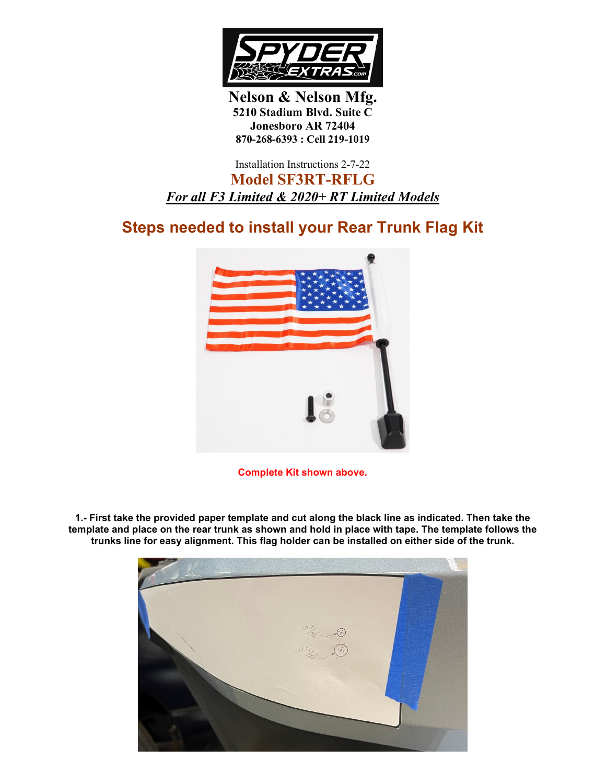

**Nelson & Nelson Mfg. 5210 Stadium Blvd. Suite C Jonesboro AR 72404 870-268-6393 : Cell 219-1019**

Installation Instructions 2-7-22 **Model SF3RT-RFLG** *For all F3 Limited & 2020+ RT Limited Models*

## **Steps needed to install your Rear Trunk Flag Kit**



**Complete Kit shown above.**

**1.- First take the provided paper template and cut along the black line as indicated. Then take the template and place on the rear trunk as shown and hold in place with tape. The template follows the trunks line for easy alignment. This flag holder can be installed on either side of the trunk.**